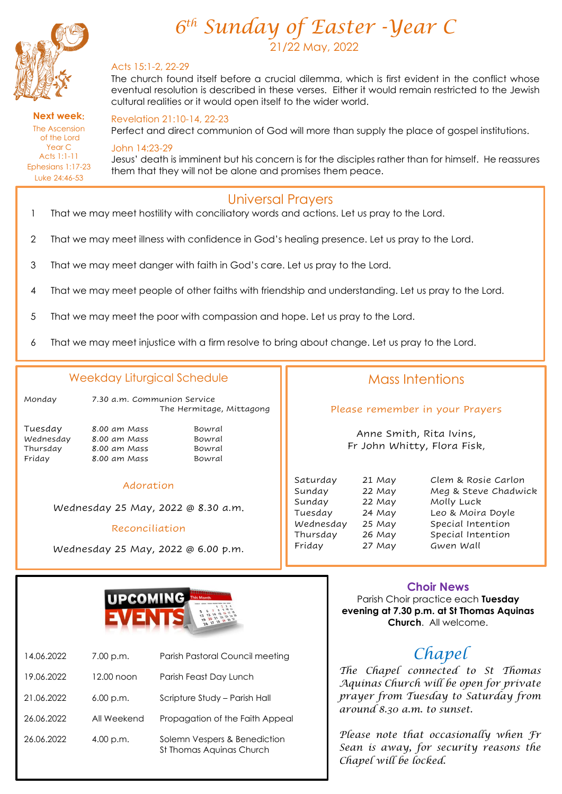

*6 th Sunday of Easter -Year C* 21/22 May, 2022

### Acts 15:1-2, 22-29

The church found itself before a crucial dilemma, which is first evident in the conflict whose eventual resolution is described in these verses. Either it would remain restricted to the Jewish cultural realities or it would open itself to the wider world.

#### **Next week**: The Ascension of the Lord Year C Acts 1:1-11 Ephesians 1:17-23 Luke 24:46-53

Ī

Revelation 21:10-14, 22-23

Perfect and direct communion of God will more than supply the place of gospel institutions.

## John 14:23-29

Jesus' death is imminent but his concern is for the disciples rather than for himself. He reassures them that they will not be alone and promises them peace.

## Universal Prayers

- 1 That we may meet hostility with conciliatory words and actions. Let us pray to the Lord.
- 2 That we may meet illness with confidence in God's healing presence. Let us pray to the Lord.
- 3 That we may meet danger with faith in God's care. Let us pray to the Lord.
- 4 That we may meet people of other faiths with friendship and understanding. Let us pray to the Lord.
- 5 That we may meet the poor with compassion and hope. Let us pray to the Lord.
- 6 That we may meet injustice with a firm resolve to bring about change. Let us pray to the Lord.

## Weekday Liturgical Schedule

| Mondav | 7.30 a.m. Communion Service |
|--------|-----------------------------|
|        | The Hermitage, Mittagong    |

| Tuesdav   |  |
|-----------|--|
| Wednesday |  |
| Thursdav  |  |
| Friday    |  |

8.00 am Mass Bowral 8.00 am Mass Bowral 8.00 am Mass Bowral 8.00 am Mass Bowral

### Adoration

Wednesday 25 May, 2022 @ 8.30 a.m.

### Reconciliation

Wednesday 25 May, 2022 @ 6.00 p.m.

## Mass Intentions

Please remember in your Prayers

Anne Smith, Rita Ivins, Fr John Whitty, Flora Fisk,

| Saturday  | 21 May | Clem & Ros   |
|-----------|--------|--------------|
| Sunday    | 22 May | Meg & Stev   |
| Sunday    | 22 May | Molly Luck   |
| Tuesday   | 24 May | Leo & Moira  |
| Wednesday | 25 May | Special Inte |
| Thursday  | 26 May | Special Inte |
| Friday    | 27 May | Gwen Wall    |
|           |        |              |

Saturday 21 May Clem & Rosie Carlon Sunday 22 May Meg & Steve Chadwick Tuesday 24 May Leo & Moira Doyle Wednesday 25 May Special Intention Thursday 26 May Special Intention



| 14.06.2022 | 7.00 p.m.   | Parish Pastoral Council meeting                          |
|------------|-------------|----------------------------------------------------------|
| 19.06.2022 | 12.00 noon  | Parish Feast Day Lunch                                   |
| 21.06.2022 | $6.00$ p.m. | Scripture Study - Parish Hall                            |
| 26.06.2022 | All Weekend | Propagation of the Faith Appeal                          |
| 26.06.2022 | 4.00 p.m.   | Solemn Vespers & Benediction<br>St Thomas Aquinas Church |

## **Choir News**

Parish Choir practice each **Tuesday evening at 7.30 p.m. at St Thomas Aquinas Church**. All welcome.

# *Chapel*

*The Chapel connected to St Thomas Aquinas Church will be open for private prayer from Tuesday to Saturday from around 8.30 a.m. to sunset.*

*Please note that occasionally when Fr Sean is away, for security reasons the Chapel will be locked.*